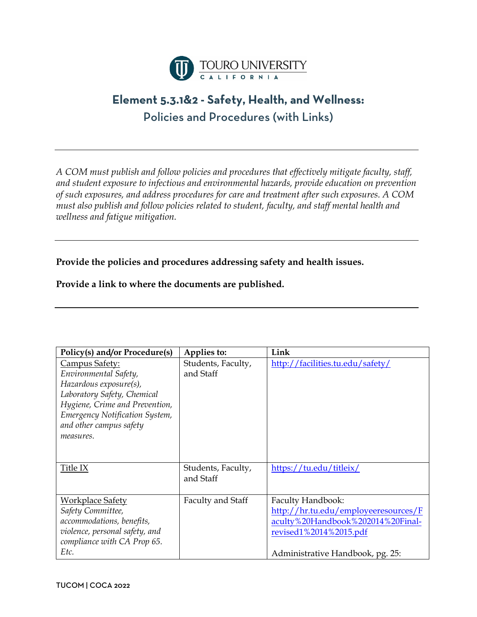

## **Element 5.3.1&2 - Safety, Health, and Wellness:** Policies and Procedures (with Links)

*A COM must publish and follow policies and procedures that effectively mitigate faculty, staff, and student exposure to infectious and environmental hazards, provide education on prevention of such exposures, and address procedures for care and treatment after such exposures. A COM must also publish and follow policies related to student, faculty, and staff mental health and wellness and fatigue mitigation.* 

**Provide the policies and procedures addressing safety and health issues.**

## **Provide a link to where the documents are published.**

| Policy(s) and/or Procedure(s)  | Applies to:        | Link                                 |
|--------------------------------|--------------------|--------------------------------------|
| Campus Safety:                 | Students, Faculty, | http://facilities.tu.edu/safety/     |
| Environmental Safety,          | and Staff          |                                      |
| Hazardous exposure(s),         |                    |                                      |
| Laboratory Safety, Chemical    |                    |                                      |
| Hygiene, Crime and Prevention, |                    |                                      |
| Emergency Notification System, |                    |                                      |
| and other campus safety        |                    |                                      |
| measures.                      |                    |                                      |
|                                |                    |                                      |
|                                |                    |                                      |
| Title IX                       | Students, Faculty, | https://tu.edu/titleix/              |
|                                | and Staff          |                                      |
|                                |                    |                                      |
| Workplace Safety               | Faculty and Staff  | Faculty Handbook:                    |
| Safety Committee,              |                    | http://hr.tu.edu/employeeresources/F |
| accommodations, benefits,      |                    | aculty%20Handbook%202014%20Final-    |
| violence, personal safety, and |                    | <u>revised1%2014%2015.pdf</u>        |
| compliance with CA Prop 65.    |                    |                                      |
| Etc.                           |                    | Administrative Handbook, pg. 25:     |